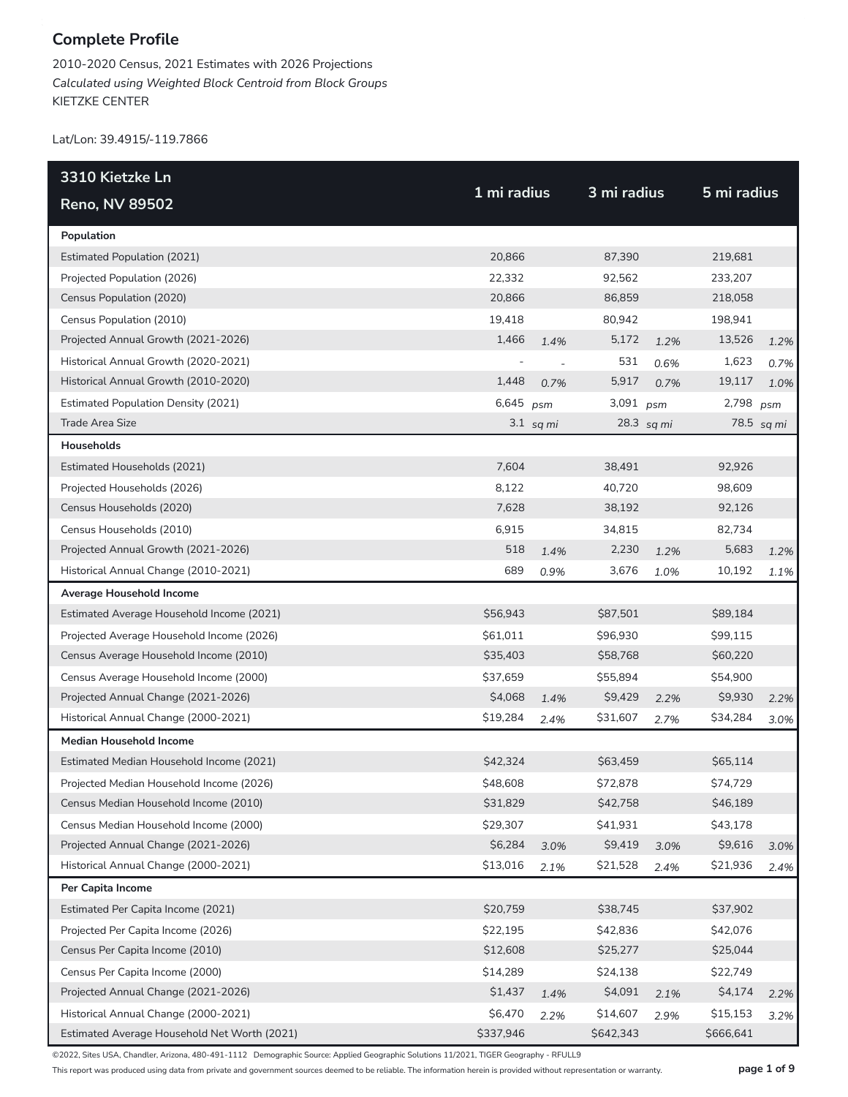2010-2020 Census, 2021 Estimates with 2026 Projections *Calculated using Weighted Block Centroid from Block Groups* KIETZKE CENTER

Lat/Lon: 39.4915/-119.7866

| 3310 Kietzke Ln                              |             |                |             |      |             |            |
|----------------------------------------------|-------------|----------------|-------------|------|-------------|------------|
| <b>Reno, NV 89502</b>                        | 1 mi radius |                | 3 mi radius |      | 5 mi radius |            |
| Population                                   |             |                |             |      |             |            |
| <b>Estimated Population (2021)</b>           | 20,866      |                | 87,390      |      | 219,681     |            |
| Projected Population (2026)                  | 22,332      |                | 92,562      |      | 233,207     |            |
| Census Population (2020)                     | 20,866      |                | 86,859      |      | 218,058     |            |
| Census Population (2010)                     | 19,418      |                | 80,942      |      | 198,941     |            |
| Projected Annual Growth (2021-2026)          | 1,466       | 1.4%           | 5,172       | 1.2% | 13,526      | 1.2%       |
| Historical Annual Growth (2020-2021)         |             | $\overline{a}$ | 531         | 0.6% | 1,623       | 0.7%       |
| Historical Annual Growth (2010-2020)         | 1,448       | 0.7%           | 5,917       | 0.7% | 19,117      | 1.0%       |
| <b>Estimated Population Density (2021)</b>   | 6,645       | psm            | 3,091 psm   |      | 2,798       | psm        |
| Trade Area Size                              |             | $3.1$ sq mi    | 28.3 sq mi  |      |             | 78.5 sq mi |
| Households                                   |             |                |             |      |             |            |
| Estimated Households (2021)                  | 7,604       |                | 38,491      |      | 92,926      |            |
| Projected Households (2026)                  | 8,122       |                | 40,720      |      | 98.609      |            |
| Census Households (2020)                     | 7,628       |                | 38,192      |      | 92,126      |            |
| Census Households (2010)                     | 6,915       |                | 34,815      |      | 82,734      |            |
| Projected Annual Growth (2021-2026)          | 518         | 1.4%           | 2,230       | 1.2% | 5,683       | 1.2%       |
| Historical Annual Change (2010-2021)         | 689         | 0.9%           | 3,676       | 1.0% | 10,192      | 1.1%       |
| Average Household Income                     |             |                |             |      |             |            |
| Estimated Average Household Income (2021)    | \$56,943    |                | \$87,501    |      | \$89,184    |            |
| Projected Average Household Income (2026)    | \$61,011    |                | \$96,930    |      | \$99,115    |            |
| Census Average Household Income (2010)       | \$35,403    |                | \$58,768    |      | \$60,220    |            |
| Census Average Household Income (2000)       | \$37,659    |                | \$55,894    |      | \$54,900    |            |
| Projected Annual Change (2021-2026)          | \$4,068     | 1.4%           | \$9,429     | 2.2% | \$9,930     | 2.2%       |
| Historical Annual Change (2000-2021)         | \$19,284    | 2.4%           | \$31,607    | 2.7% | \$34,284    | 3.0%       |
| <b>Median Household Income</b>               |             |                |             |      |             |            |
| Estimated Median Household Income (2021)     | \$42,324    |                | \$63,459    |      | \$65,114    |            |
| Projected Median Household Income (2026)     | \$48,608    |                | \$72,878    |      | \$74,729    |            |
| Census Median Household Income (2010)        | \$31,829    |                | \$42,758    |      | \$46,189    |            |
| Census Median Household Income (2000)        | \$29,307    |                | \$41,931    |      | \$43,178    |            |
| Projected Annual Change (2021-2026)          | \$6,284     | 3.0%           | \$9,419     | 3.0% | \$9,616     | 3.0%       |
| Historical Annual Change (2000-2021)         | \$13,016    | 2.1%           | \$21,528    | 2.4% | \$21,936    | 2.4%       |
| Per Capita Income                            |             |                |             |      |             |            |
| Estimated Per Capita Income (2021)           | \$20,759    |                | \$38,745    |      | \$37,902    |            |
| Projected Per Capita Income (2026)           | \$22,195    |                | \$42,836    |      | \$42,076    |            |
| Census Per Capita Income (2010)              | \$12,608    |                | \$25,277    |      | \$25,044    |            |
| Census Per Capita Income (2000)              | \$14,289    |                | \$24,138    |      | \$22,749    |            |
| Projected Annual Change (2021-2026)          | \$1,437     | 1.4%           | \$4,091     | 2.1% | \$4,174     | 2.2%       |
| Historical Annual Change (2000-2021)         | \$6,470     | 2.2%           | \$14,607    | 2.9% | \$15,153    | 3.2%       |
| Estimated Average Household Net Worth (2021) | \$337,946   |                | \$642,343   |      | \$666,641   |            |

©2022, Sites USA, Chandler, Arizona, 480-491-1112 Demographic Source: Applied Geographic Solutions 11/2021, TIGER Geography - RFULL9

This report was produced using data from private and government sources deemed to be reliable. The information herein is provided without representation or warranty. **page 1 of 9**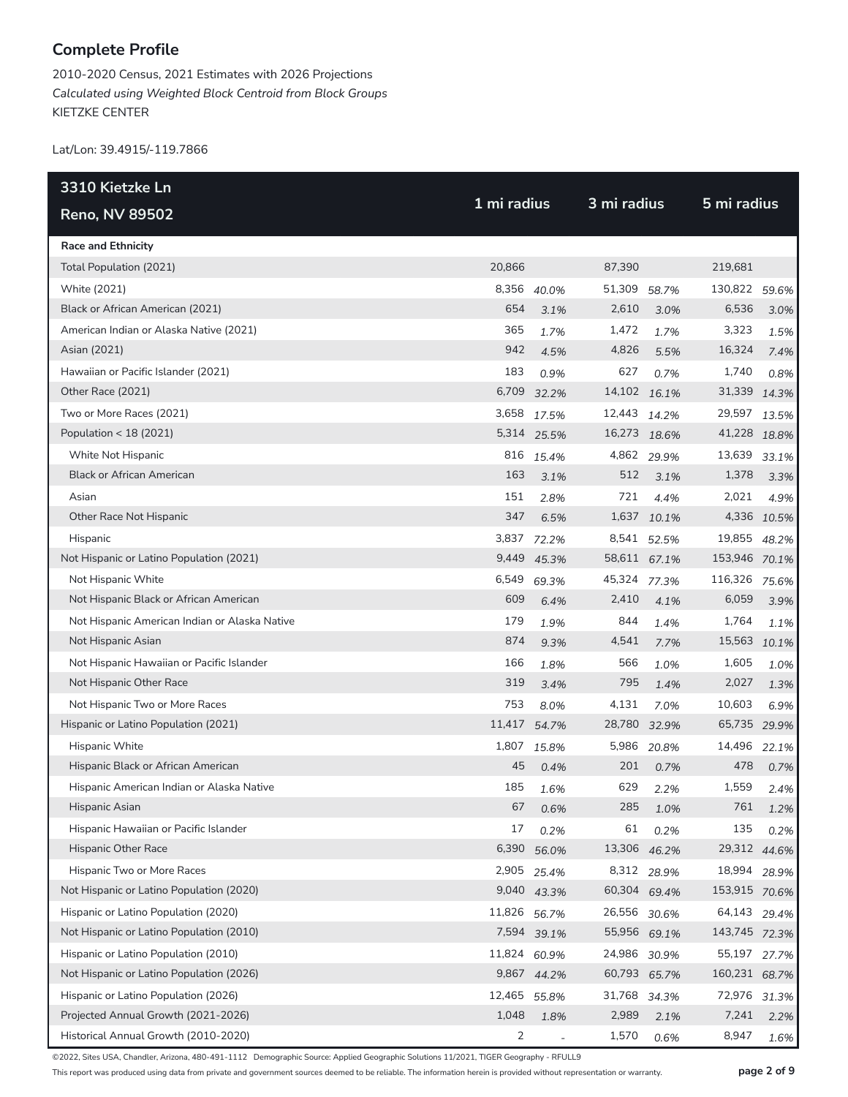2010-2020 Census, 2021 Estimates with 2026 Projections *Calculated using Weighted Block Centroid from Block Groups* KIETZKE CENTER

Lat/Lon: 39.4915/-119.7866

| 3310 Kietzke Ln                               | 1 mi radius |              |              | 3 mi radius |               |             |  |
|-----------------------------------------------|-------------|--------------|--------------|-------------|---------------|-------------|--|
| <b>Reno, NV 89502</b>                         |             |              |              |             | 5 mi radius   |             |  |
| <b>Race and Ethnicity</b>                     |             |              |              |             |               |             |  |
| Total Population (2021)                       | 20,866      |              | 87,390       |             | 219,681       |             |  |
| White (2021)                                  |             | 8,356 40.0%  | 51,309       | 58.7%       | 130,822       | 59.6%       |  |
| Black or African American (2021)              | 654         | 3.1%         | 2,610        | 3.0%        | 6,536         | 3.0%        |  |
| American Indian or Alaska Native (2021)       | 365         | 1.7%         | 1,472        | 1.7%        | 3,323         | 1.5%        |  |
| Asian (2021)                                  | 942         | 4.5%         | 4,826        | 5.5%        | 16,324        | 7.4%        |  |
| Hawaiian or Pacific Islander (2021)           | 183         | 0.9%         | 627          | 0.7%        | 1,740         | 0.8%        |  |
| Other Race (2021)                             |             | 6,709 32.2%  | 14,102 16.1% |             | 31,339        | 14.3%       |  |
| Two or More Races (2021)                      | 3,658       | 17.5%        | 12,443 14.2% |             | 29,597        | 13.5%       |  |
| Population < 18 (2021)                        |             | 5,314 25.5%  | 16,273 18.6% |             | 41,228 18.8%  |             |  |
| White Not Hispanic                            |             | 816 15.4%    |              | 4,862 29.9% | 13,639        | 33.1%       |  |
| <b>Black or African American</b>              | 163         | 3.1%         | 512          | 3.1%        | 1,378         | 3.3%        |  |
| Asian                                         | 151         | 2.8%         | 721          | 4.4%        | 2,021         | 4.9%        |  |
| Other Race Not Hispanic                       | 347         | 6.5%         |              | 1,637 10.1% |               | 4,336 10.5% |  |
| Hispanic                                      | 3,837       | 72.2%        |              | 8,541 52.5% | 19,855        | 48.2%       |  |
| Not Hispanic or Latino Population (2021)      |             | 9,449 45.3%  | 58,611 67.1% |             | 153,946 70.1% |             |  |
| Not Hispanic White                            | 6,549       | 69.3%        | 45,324 77.3% |             | 116,326       | 75.6%       |  |
| Not Hispanic Black or African American        | 609         | 6.4%         | 2,410        | 4.1%        | 6,059         | 3.9%        |  |
| Not Hispanic American Indian or Alaska Native | 179         | 1.9%         | 844          | 1.4%        | 1,764         | 1.1%        |  |
| Not Hispanic Asian                            | 874         | 9.3%         | 4,541        | 7.7%        | 15,563        | 10.1%       |  |
| Not Hispanic Hawaiian or Pacific Islander     | 166         | 1.8%         | 566          | 1.0%        | 1,605         | 1.0%        |  |
| Not Hispanic Other Race                       | 319         | 3.4%         | 795          | 1.4%        | 2,027         | 1.3%        |  |
| Not Hispanic Two or More Races                | 753         | 8.0%         | 4,131        | 7.0%        | 10,603        | 6.9%        |  |
| Hispanic or Latino Population (2021)          |             | 11,417 54.7% | 28,780 32.9% |             | 65,735 29.9%  |             |  |
| Hispanic White                                | 1,807       | 15.8%        | 5,986        | 20.8%       | 14,496        | 22.1%       |  |
| Hispanic Black or African American            | 45          | 0.4%         | 201          | 0.7%        | 478           | 0.7%        |  |
| Hispanic American Indian or Alaska Native     | 185         | 1.6%         | 629          | 2.2%        | 1,559         | 2.4%        |  |
| Hispanic Asian                                | 67          | 0.6%         | 285          | 1.0%        | 761           | 1.2%        |  |
| Hispanic Hawaiian or Pacific Islander         | 17          | 0.2%         | 61           | 0.2%        | 135           | 0.2%        |  |
| Hispanic Other Race                           | 6,390       | 56.0%        | 13,306 46.2% |             | 29,312 44.6%  |             |  |
| Hispanic Two or More Races                    | 2,905       | 25.4%        |              | 8,312 28.9% | 18,994        | 28.9%       |  |
| Not Hispanic or Latino Population (2020)      | 9,040       | 43.3%        | 60,304 69.4% |             | 153,915 70.6% |             |  |
| Hispanic or Latino Population (2020)          | 11,826      | 56.7%        | 26,556 30.6% |             | 64,143        | 29.4%       |  |
| Not Hispanic or Latino Population (2010)      |             | 7,594 39.1%  | 55,956 69.1% |             | 143,745 72.3% |             |  |
| Hispanic or Latino Population (2010)          | 11,824      | 60.9%        | 24,986       | 30.9%       | 55,197        | 27.7%       |  |
| Not Hispanic or Latino Population (2026)      | 9,867       | 44.2%        | 60,793 65.7% |             | 160,231 68.7% |             |  |
| Hispanic or Latino Population (2026)          | 12,465      | 55.8%        | 31,768       | 34.3%       | 72,976        | 31.3%       |  |
| Projected Annual Growth (2021-2026)           | 1,048       | 1.8%         | 2,989        | 2.1%        | 7,241         | 2.2%        |  |
| Historical Annual Growth (2010-2020)          | 2           |              | 1,570        | 0.6%        | 8,947         | 1.6%        |  |

©2022, Sites USA, Chandler, Arizona, 480-491-1112 Demographic Source: Applied Geographic Solutions 11/2021, TIGER Geography - RFULL9

This report was produced using data from private and government sources deemed to be reliable. The information herein is provided without representation or warranty. **page 2 of 9**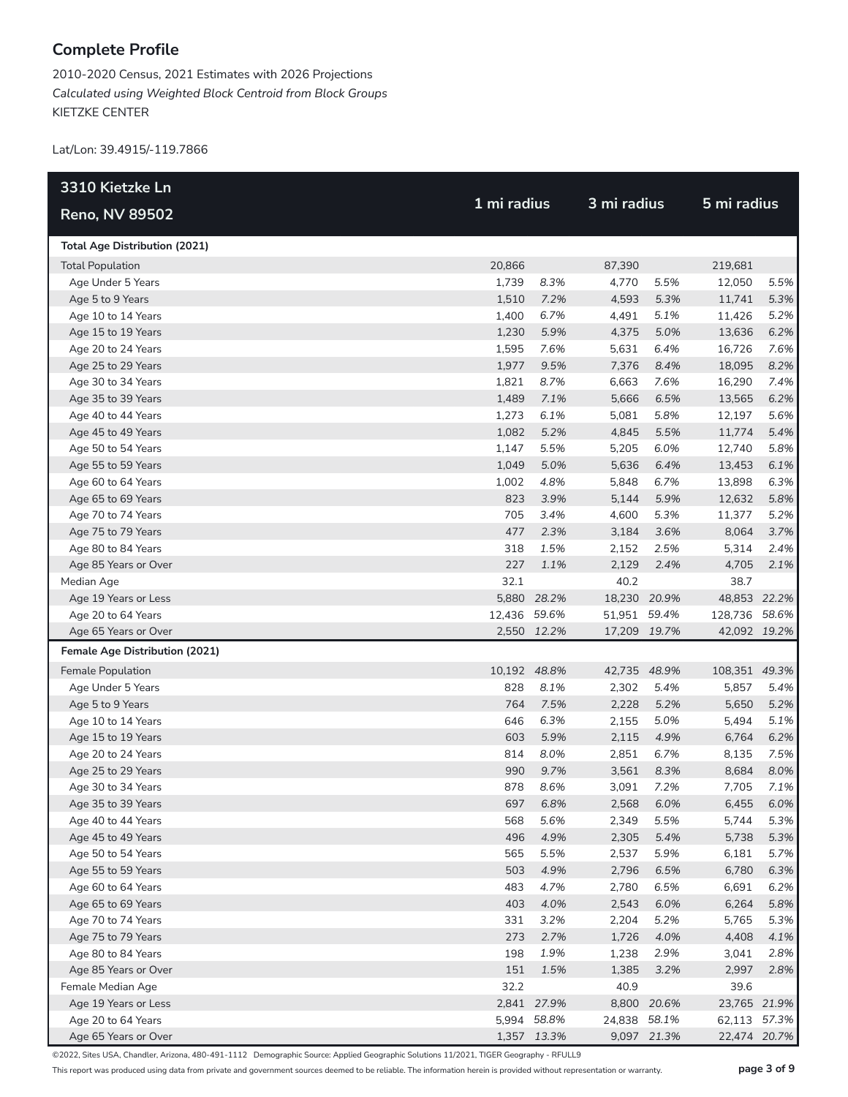2010-2020 Census, 2021 Estimates with 2026 Projections *Calculated using Weighted Block Centroid from Block Groups* KIETZKE CENTER

Lat/Lon: 39.4915/-119.7866

| 3310 Kietzke Ln                       |              |             | 3 mi radius  |             |               |       |
|---------------------------------------|--------------|-------------|--------------|-------------|---------------|-------|
| <b>Reno, NV 89502</b>                 |              | 1 mi radius |              |             | 5 mi radius   |       |
| <b>Total Age Distribution (2021)</b>  |              |             |              |             |               |       |
| <b>Total Population</b>               | 20,866       |             | 87,390       |             | 219,681       |       |
| Age Under 5 Years                     | 1,739        | 8.3%        | 4,770        | 5.5%        | 12,050        | 5.5%  |
| Age 5 to 9 Years                      | 1,510        | 7.2%        | 4,593        | 5.3%        | 11,741        | 5.3%  |
| Age 10 to 14 Years                    | 1,400        | 6.7%        | 4,491        | 5.1%        | 11,426        | 5.2%  |
| Age 15 to 19 Years                    | 1,230        | 5.9%        | 4,375        | 5.0%        | 13,636        | 6.2%  |
| Age 20 to 24 Years                    | 1,595        | 7.6%        | 5,631        | 6.4%        | 16,726        | 7.6%  |
| Age 25 to 29 Years                    | 1,977        | 9.5%        | 7,376        | 8.4%        | 18,095        | 8.2%  |
| Age 30 to 34 Years                    | 1,821        | 8.7%        | 6,663        | 7.6%        | 16,290        | 7.4%  |
| Age 35 to 39 Years                    | 1,489        | 7.1%        | 5,666        | 6.5%        | 13,565        | 6.2%  |
| Age 40 to 44 Years                    | 1,273        | 6.1%        | 5,081        | 5.8%        | 12,197        | 5.6%  |
| Age 45 to 49 Years                    | 1,082        | 5.2%        | 4,845        | 5.5%        | 11,774        | 5.4%  |
| Age 50 to 54 Years                    | 1,147        | 5.5%        | 5,205        | 6.0%        | 12,740        | 5.8%  |
| Age 55 to 59 Years                    | 1,049        | 5.0%        | 5,636        | 6.4%        | 13,453        | 6.1%  |
| Age 60 to 64 Years                    | 1,002        | 4.8%        | 5,848        | 6.7%        | 13,898        | 6.3%  |
| Age 65 to 69 Years                    | 823          | 3.9%        | 5,144        | 5.9%        | 12,632        | 5.8%  |
| Age 70 to 74 Years                    | 705          | 3.4%        | 4,600        | 5.3%        | 11,377        | 5.2%  |
| Age 75 to 79 Years                    | 477          | 2.3%        | 3,184        | 3.6%        | 8,064         | 3.7%  |
| Age 80 to 84 Years                    | 318          | 1.5%        | 2,152        | 2.5%        | 5,314         | 2.4%  |
| Age 85 Years or Over                  | 227          | 1.1%        | 2,129        | 2.4%        | 4,705         | 2.1%  |
| Median Age                            | 32.1         |             | 40.2         |             | 38.7          |       |
| Age 19 Years or Less                  |              | 5,880 28.2% | 18,230 20.9% |             | 48,853 22.2%  |       |
| Age 20 to 64 Years                    | 12,436 59.6% |             | 51,951 59.4% |             | 128,736 58.6% |       |
| Age 65 Years or Over                  |              | 2,550 12.2% | 17,209 19.7% |             | 42,092 19.2%  |       |
| <b>Female Age Distribution (2021)</b> |              |             |              |             |               |       |
| Female Population                     | 10,192 48.8% |             | 42,735 48.9% |             | 108,351 49.3% |       |
| Age Under 5 Years                     | 828          | 8.1%        | 2,302        | 5.4%        | 5,857         | 5.4%  |
| Age 5 to 9 Years                      | 764          | 7.5%        | 2,228        | 5.2%        | 5,650         | 5.2%  |
| Age 10 to 14 Years                    | 646          | 6.3%        | 2,155        | 5.0%        | 5,494         | 5.1%  |
| Age 15 to 19 Years                    | 603          | 5.9%        | 2,115        | 4.9%        | 6,764         | 6.2%  |
| Age 20 to 24 Years                    | 814          | 8.0%        | 2,851        | 6.7%        | 8,135         | 7.5%  |
| Age 25 to 29 Years                    | 990          | 9.7%        | 3,561        | 8.3%        | 8,684         | 8.0%  |
| Age 30 to 34 Years                    | 878          | 8.6%        | 3,091        | 7.2%        | 7,705         | 7.1%  |
| Age 35 to 39 Years                    |              | 697 6.8%    | 2,568        | 6.0%        | 6,455         | 6.0%  |
| Age 40 to 44 Years                    | 568          | 5.6%        | 2,349        | 5.5%        | 5,744         | 5.3%  |
| Age 45 to 49 Years                    | 496          | 4.9%        | 2,305        | 5.4%        | 5,738         | 5.3%  |
| Age 50 to 54 Years                    | 565          | 5.5%        | 2,537        | 5.9%        | 6,181         | 5.7%  |
| Age 55 to 59 Years                    | 503          | 4.9%        | 2,796        | 6.5%        | 6,780         | 6.3%  |
| Age 60 to 64 Years                    | 483          | 4.7%        | 2,780        | 6.5%        | 6,691         | 6.2%  |
| Age 65 to 69 Years                    | 403          | 4.0%        | 2,543        | 6.0%        | 6,264         | 5.8%  |
| Age 70 to 74 Years                    | 331          | 3.2%        | 2,204        | 5.2%        | 5,765         | 5.3%  |
| Age 75 to 79 Years                    | 273          | 2.7%        | 1,726        | 4.0%        | 4,408         | 4.1%  |
| Age 80 to 84 Years                    | 198          | 1.9%        | 1,238        | 2.9%        | 3,041         | 2.8%  |
| Age 85 Years or Over                  | 151          | 1.5%        | 1,385        | 3.2%        | 2,997         | 2.8%  |
| Female Median Age                     | 32.2         |             | 40.9         |             | 39.6          |       |
| Age 19 Years or Less                  |              | 2,841 27.9% | 8,800        | 20.6%       | 23,765 21.9%  |       |
| Age 20 to 64 Years                    |              | 5,994 58.8% | 24,838 58.1% |             | 62,113        | 57.3% |
| Age 65 Years or Over                  |              | 1,357 13.3% |              | 9,097 21.3% | 22,474 20.7%  |       |

©2022, Sites USA, Chandler, Arizona, 480-491-1112 Demographic Source: Applied Geographic Solutions 11/2021, TIGER Geography - RFULL9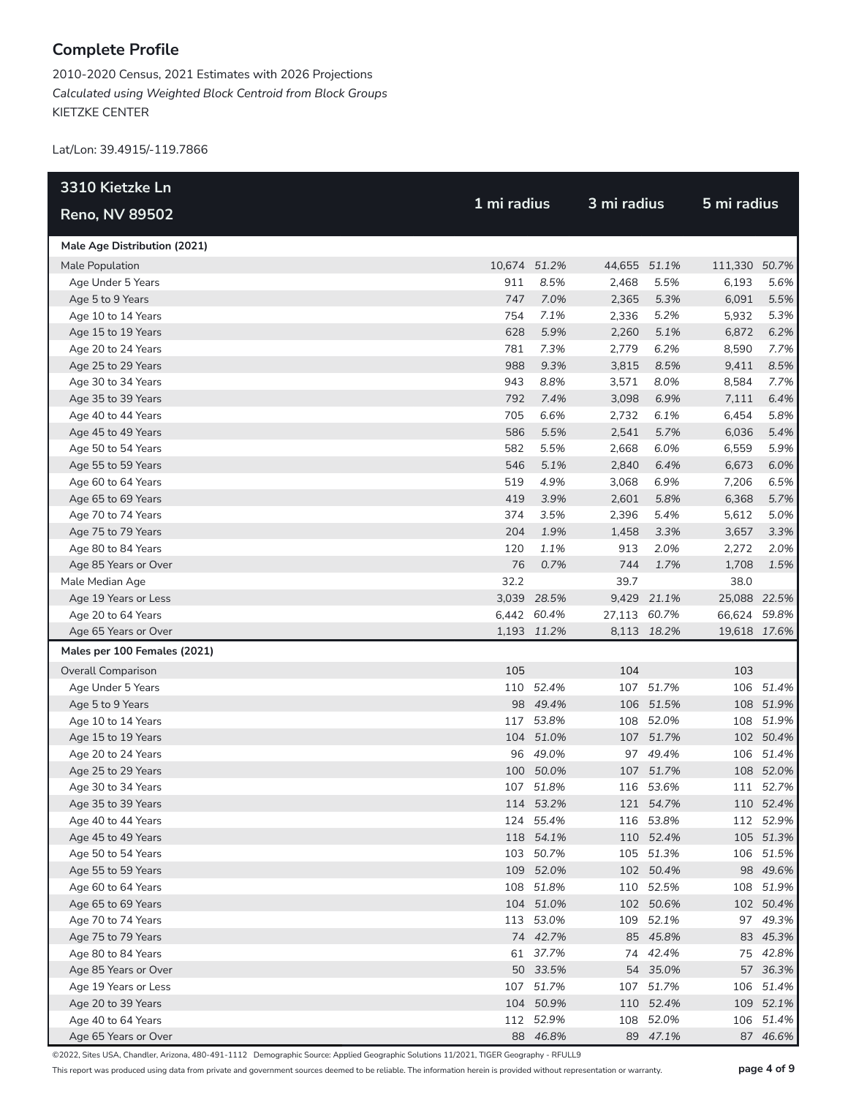2010-2020 Census, 2021 Estimates with 2026 Projections *Calculated using Weighted Block Centroid from Block Groups* KIETZKE CENTER

Lat/Lon: 39.4915/-119.7866

| 3310 Kietzke Ln              |              |             |              |              |               | 5 mi radius  |  |  |
|------------------------------|--------------|-------------|--------------|--------------|---------------|--------------|--|--|
| <b>Reno, NV 89502</b>        | 1 mi radius  |             | 3 mi radius  |              |               |              |  |  |
| Male Age Distribution (2021) |              |             |              |              |               |              |  |  |
| Male Population              | 10,674 51.2% |             |              | 44,655 51.1% | 111,330 50.7% |              |  |  |
| Age Under 5 Years            | 911          | 8.5%        | 2,468        | 5.5%         | 6,193         | 5.6%         |  |  |
| Age 5 to 9 Years             | 747          | 7.0%        | 2,365        | 5.3%         | 6,091         | 5.5%         |  |  |
| Age 10 to 14 Years           | 754          | 7.1%        | 2,336        | 5.2%         | 5,932         | 5.3%         |  |  |
| Age 15 to 19 Years           | 628          | 5.9%        | 2,260        | 5.1%         | 6,872         | 6.2%         |  |  |
| Age 20 to 24 Years           | 781          | 7.3%        | 2,779        | 6.2%         | 8,590         | 7.7%         |  |  |
| Age 25 to 29 Years           | 988          | 9.3%        | 3,815        | 8.5%         | 9,411         | 8.5%         |  |  |
| Age 30 to 34 Years           | 943          | 8.8%        | 3,571        | 8.0%         | 8,584         | 7.7%         |  |  |
| Age 35 to 39 Years           | 792          | 7.4%        | 3,098        | 6.9%         | 7,111         | 6.4%         |  |  |
| Age 40 to 44 Years           | 705          | 6.6%        | 2,732        | 6.1%         | 6,454         | 5.8%         |  |  |
| Age 45 to 49 Years           | 586          | 5.5%        | 2,541        | 5.7%         | 6,036         | 5.4%         |  |  |
| Age 50 to 54 Years           | 582          | 5.5%        | 2,668        | 6.0%         | 6,559         | 5.9%         |  |  |
| Age 55 to 59 Years           | 546          | 5.1%        | 2,840        | 6.4%         | 6,673         | 6.0%         |  |  |
| Age 60 to 64 Years           | 519          | 4.9%        | 3,068        | 6.9%         | 7,206         | 6.5%         |  |  |
| Age 65 to 69 Years           | 419          | 3.9%        | 2,601        | 5.8%         | 6,368         | 5.7%         |  |  |
| Age 70 to 74 Years           | 374          | 3.5%        | 2,396        | 5.4%         | 5,612         | 5.0%         |  |  |
| Age 75 to 79 Years           | 204          | 1.9%        | 1,458        | 3.3%         | 3,657         | 3.3%         |  |  |
| Age 80 to 84 Years           | 120          | 1.1%        | 913          | 2.0%         | 2,272         | 2.0%         |  |  |
| Age 85 Years or Over         | 76           | 0.7%        | 744          | 1.7%         | 1,708         | 1.5%         |  |  |
| Male Median Age              | 32.2         |             | 39.7         |              | 38.0          |              |  |  |
| Age 19 Years or Less         |              | 3,039 28.5% |              | 9,429 21.1%  | 25,088 22.5%  |              |  |  |
| Age 20 to 64 Years           |              | 6,442 60.4% | 27,113 60.7% |              | 66,624 59.8%  |              |  |  |
| Age 65 Years or Over         |              | 1,193 11.2% |              | 8,113 18.2%  |               | 19,618 17.6% |  |  |
| Males per 100 Females (2021) |              |             |              |              |               |              |  |  |
| Overall Comparison           | 105          |             | 104          |              | 103           |              |  |  |
| Age Under 5 Years            |              | 110 52.4%   |              | 107 51.7%    |               | 106 51.4%    |  |  |
| Age 5 to 9 Years             |              | 98 49.4%    |              | 106 51.5%    |               | 108 51.9%    |  |  |
| Age 10 to 14 Years           |              | 117 53.8%   | 108          | 52.0%        |               | 108 51.9%    |  |  |
| Age 15 to 19 Years           |              | 104 51.0%   |              | 107 51.7%    |               | 102 50.4%    |  |  |
| Age 20 to 24 Years           |              | 96 49.0%    |              | 97 49.4%     |               | 106 51.4%    |  |  |
| Age 25 to 29 Years           |              | 100 50.0%   |              | 107 51.7%    |               | 108 52.0%    |  |  |
| Age 30 to 34 Years           |              | 107 51.8%   |              | 116 53.6%    |               | 111 52.7%    |  |  |
| Age 35 to 39 Years           |              | 114 53.2%   |              | 121 54.7%    |               | 110 52.4%    |  |  |
| Age 40 to 44 Years           |              | 124 55.4%   |              | 116 53.8%    |               | 112 52.9%    |  |  |
| Age 45 to 49 Years           |              | 118 54.1%   |              | 110 52.4%    |               | 105 51.3%    |  |  |
| Age 50 to 54 Years           |              | 103 50.7%   |              | 105 51.3%    |               | 106 51.5%    |  |  |
| Age 55 to 59 Years           |              | 109 52.0%   |              | 102 50.4%    |               | 98 49.6%     |  |  |
| Age 60 to 64 Years           |              | 108 51.8%   |              | 110 52.5%    |               | 108 51.9%    |  |  |
| Age 65 to 69 Years           |              | 104 51.0%   |              | 102 50.6%    |               | 102 50.4%    |  |  |
| Age 70 to 74 Years           |              | 113 53.0%   |              | 109 52.1%    |               | 97 49.3%     |  |  |
| Age 75 to 79 Years           |              | 74 42.7%    |              | 85 45.8%     |               | 83 45.3%     |  |  |
| Age 80 to 84 Years           |              | 61 37.7%    |              | 74 42.4%     |               | 75 42.8%     |  |  |
| Age 85 Years or Over         |              | 50 33.5%    |              | 54 35.0%     |               | 57 36.3%     |  |  |
| Age 19 Years or Less         |              | 107 51.7%   |              | 107 51.7%    |               | 106 51.4%    |  |  |
| Age 20 to 39 Years           |              | 104 50.9%   |              | 110 52.4%    |               | 109 52.1%    |  |  |
| Age 40 to 64 Years           |              | 112 52.9%   |              | 108 52.0%    |               | 106 51.4%    |  |  |
| Age 65 Years or Over         |              | 88 46.8%    |              | 89 47.1%     |               | 87 46.6%     |  |  |

©2022, Sites USA, Chandler, Arizona, 480-491-1112 Demographic Source: Applied Geographic Solutions 11/2021, TIGER Geography - RFULL9

This report was produced using data from private and government sources deemed to be reliable. The information herein is provided without representation or warranty. **page 4 of 9**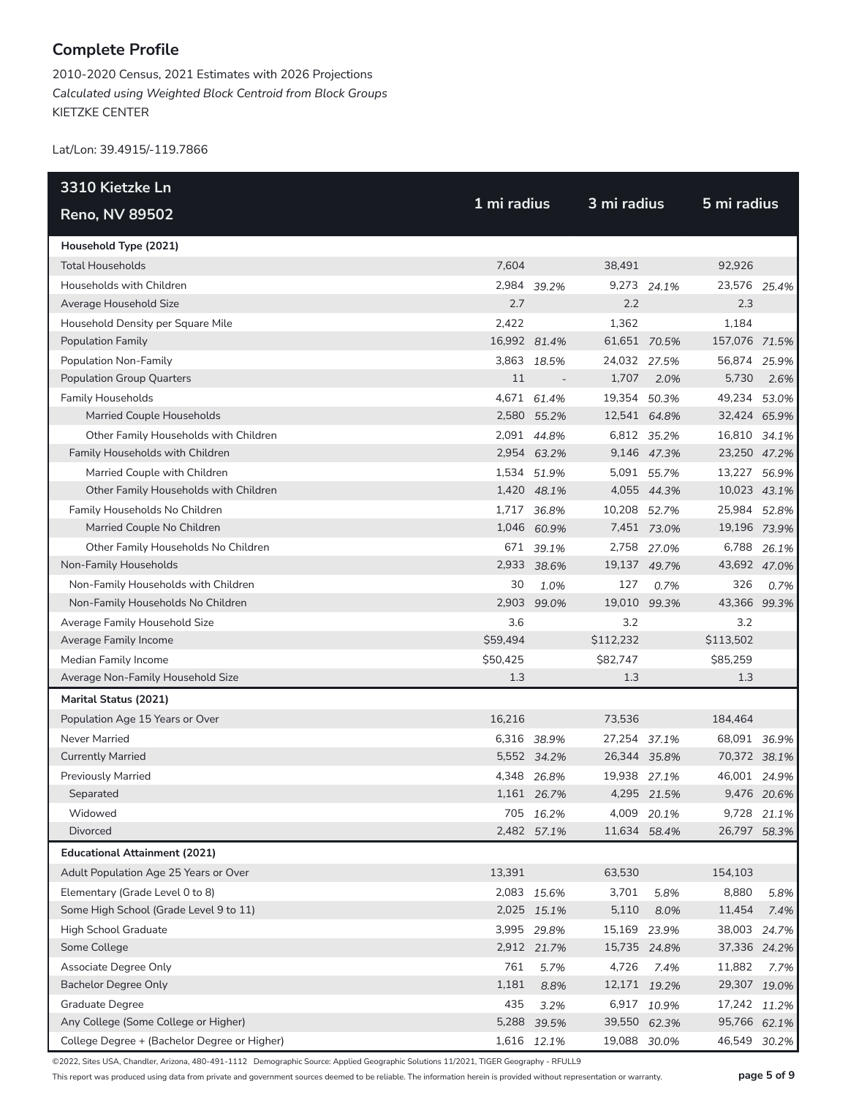2010-2020 Census, 2021 Estimates with 2026 Projections *Calculated using Weighted Block Centroid from Block Groups* KIETZKE CENTER

Lat/Lon: 39.4915/-119.7866

| 3310 Kietzke Ln                              | 1 mi radius  |             |              | 3 mi radius |               |             |  |  |
|----------------------------------------------|--------------|-------------|--------------|-------------|---------------|-------------|--|--|
| <b>Reno, NV 89502</b>                        |              |             |              |             | 5 mi radius   |             |  |  |
| Household Type (2021)                        |              |             |              |             |               |             |  |  |
| <b>Total Households</b>                      | 7,604        |             | 38,491       |             | 92,926        |             |  |  |
| Households with Children                     |              | 2,984 39.2% |              | 9,273 24.1% | 23,576 25.4%  |             |  |  |
| Average Household Size                       | 2.7          |             | 2.2          |             | 2.3           |             |  |  |
| Household Density per Square Mile            | 2,422        |             | 1,362        |             | 1,184         |             |  |  |
| <b>Population Family</b>                     | 16,992 81.4% |             | 61,651 70.5% |             | 157,076 71.5% |             |  |  |
| Population Non-Family                        |              | 3,863 18.5% | 24,032 27.5% |             | 56,874 25.9%  |             |  |  |
| <b>Population Group Quarters</b>             | 11           |             | 1,707        | 2.0%        | 5,730         | 2.6%        |  |  |
| <b>Family Households</b>                     |              | 4,671 61.4% | 19,354 50.3% |             | 49,234 53.0%  |             |  |  |
| Married Couple Households                    |              | 2,580 55.2% | 12,541 64.8% |             | 32,424 65.9%  |             |  |  |
| Other Family Households with Children        |              | 2,091 44.8% |              | 6,812 35.2% | 16,810 34.1%  |             |  |  |
| Family Households with Children              |              | 2,954 63.2% |              | 9,146 47.3% | 23,250 47.2%  |             |  |  |
| Married Couple with Children                 |              | 1,534 51.9% |              | 5,091 55.7% | 13,227 56.9%  |             |  |  |
| Other Family Households with Children        |              | 1,420 48.1% |              | 4,055 44.3% | 10,023 43.1%  |             |  |  |
| Family Households No Children                |              | 1,717 36.8% | 10,208 52.7% |             | 25,984 52.8%  |             |  |  |
| Married Couple No Children                   |              | 1,046 60.9% |              | 7,451 73.0% | 19,196 73.9%  |             |  |  |
| Other Family Households No Children          |              | 671 39.1%   |              | 2,758 27.0% |               | 6,788 26.1% |  |  |
| Non-Family Households                        |              | 2,933 38.6% | 19,137 49.7% |             | 43,692 47.0%  |             |  |  |
| Non-Family Households with Children          | 30           | 1.0%        | 127          | 0.7%        | 326           | 0.7%        |  |  |
| Non-Family Households No Children            | 2,903        | 99.0%       | 19,010       | 99.3%       | 43,366 99.3%  |             |  |  |
| Average Family Household Size                | 3.6          |             | 3.2          |             | 3.2           |             |  |  |
| Average Family Income                        | \$59,494     |             | \$112,232    |             | \$113,502     |             |  |  |
| Median Family Income                         | \$50,425     |             | \$82,747     |             | \$85,259      |             |  |  |
| Average Non-Family Household Size            | 1.3          |             | 1.3          |             | 1.3           |             |  |  |
| Marital Status (2021)                        |              |             |              |             |               |             |  |  |
| Population Age 15 Years or Over              | 16,216       |             | 73,536       |             | 184,464       |             |  |  |
| <b>Never Married</b>                         |              | 6,316 38.9% | 27,254 37.1% |             | 68,091 36.9%  |             |  |  |
| <b>Currently Married</b>                     |              | 5,552 34.2% | 26,344 35.8% |             | 70,372 38.1%  |             |  |  |
| <b>Previously Married</b>                    |              | 4,348 26.8% | 19,938 27.1% |             | 46,001 24.9%  |             |  |  |
| Separated                                    |              | 1,161 26.7% |              | 4,295 21.5% |               | 9,476 20.6% |  |  |
| Widowed                                      |              | 705 16.2%   |              | 4,009 20.1% | 9,728         | 21.1%       |  |  |
| Divorced                                     |              | 2,482 57.1% | 11,634 58.4% |             | 26,797 58.3%  |             |  |  |
| <b>Educational Attainment (2021)</b>         |              |             |              |             |               |             |  |  |
| Adult Population Age 25 Years or Over        | 13,391       |             | 63,530       |             | 154,103       |             |  |  |
| Elementary (Grade Level 0 to 8)              |              | 2,083 15.6% | 3,701        | 5.8%        | 8,880         | 5.8%        |  |  |
| Some High School (Grade Level 9 to 11)       |              | 2,025 15.1% | 5,110        | 8.0%        | 11,454        | 7.4%        |  |  |
| High School Graduate                         |              | 3,995 29.8% | 15,169 23.9% |             | 38,003        | 24.7%       |  |  |
| Some College                                 |              | 2,912 21.7% | 15,735 24.8% |             | 37,336 24.2%  |             |  |  |
| Associate Degree Only                        | 761          | 5.7%        | 4,726        | 7.4%        | 11,882        | 7.7%        |  |  |
| <b>Bachelor Degree Only</b>                  | 1,181        | 8.8%        | 12,171 19.2% |             | 29,307        | 19.0%       |  |  |
| Graduate Degree                              | 435          | 3.2%        |              | 6,917 10.9% | 17,242 11.2%  |             |  |  |
| Any College (Some College or Higher)         |              | 5,288 39.5% | 39,550 62.3% |             | 95,766 62.1%  |             |  |  |
| College Degree + (Bachelor Degree or Higher) |              | 1,616 12.1% | 19,088 30.0% |             | 46,549        | 30.2%       |  |  |

©2022, Sites USA, Chandler, Arizona, 480-491-1112 Demographic Source: Applied Geographic Solutions 11/2021, TIGER Geography - RFULL9

This report was produced using data from private and government sources deemed to be reliable. The information herein is provided without representation or warranty. **page 5 of 9**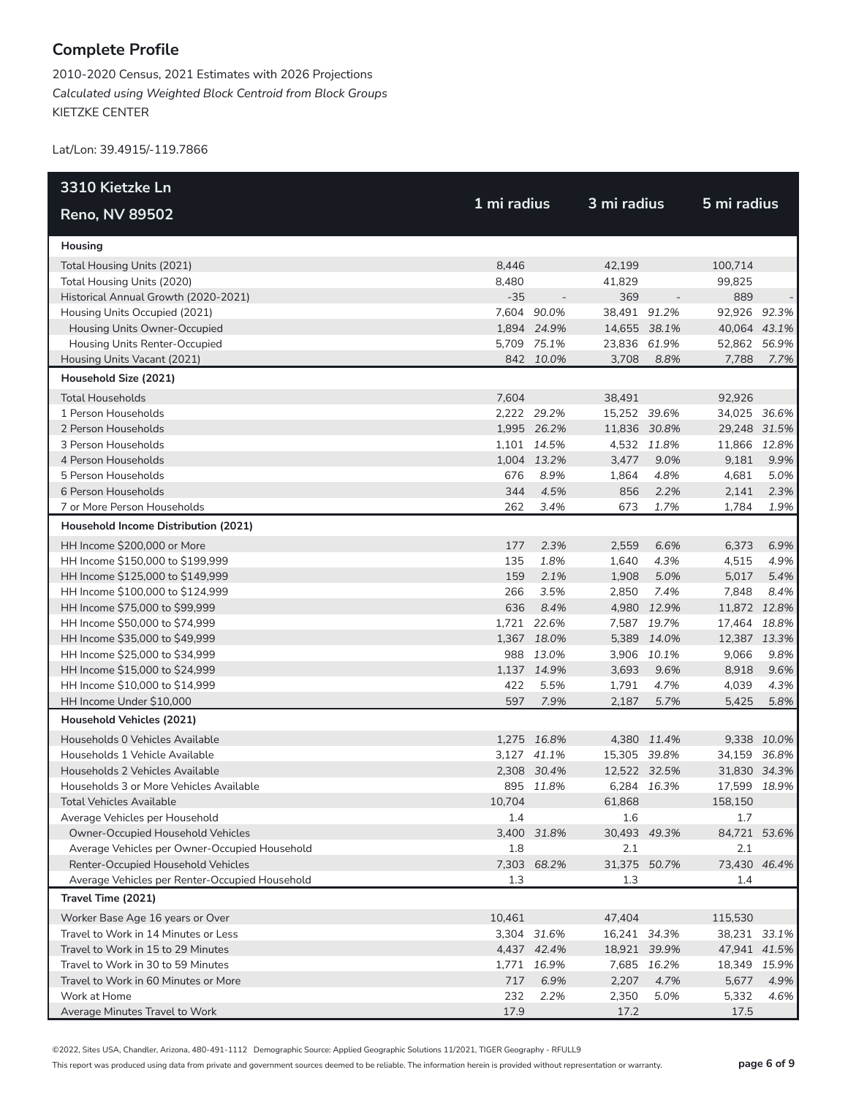2010-2020 Census, 2021 Estimates with 2026 Projections *Calculated using Weighted Block Centroid from Block Groups* KIETZKE CENTER

Lat/Lon: 39.4915/-119.7866

| 3310 Kietzke Ln                                                                      |        |             | 3 mi radius         |             |                     |             |
|--------------------------------------------------------------------------------------|--------|-------------|---------------------|-------------|---------------------|-------------|
| <b>Reno, NV 89502</b>                                                                |        | 1 mi radius |                     |             | 5 mi radius         |             |
| Housing                                                                              |        |             |                     |             |                     |             |
| Total Housing Units (2021)                                                           | 8,446  |             | 42,199              |             | 100,714             |             |
| Total Housing Units (2020)                                                           | 8,480  |             | 41,829              |             | 99,825              |             |
| Historical Annual Growth (2020-2021)                                                 | $-35$  |             | 369                 |             | 889                 |             |
| Housing Units Occupied (2021)                                                        |        | 7,604 90.0% | 38,491 91.2%        |             | 92,926 92.3%        |             |
| Housing Units Owner-Occupied                                                         |        | 1,894 24.9% | 14,655 38.1%        |             | 40,064 43.1%        |             |
| Housing Units Renter-Occupied                                                        |        | 5,709 75.1% | 23,836 61.9%        |             | 52,862 56.9%        |             |
| Housing Units Vacant (2021)                                                          |        | 842 10.0%   | 3,708               | 8.8%        | 7,788               | 7.7%        |
| Household Size (2021)                                                                |        |             |                     |             |                     |             |
| <b>Total Households</b>                                                              | 7,604  |             | 38,491              |             | 92,926              |             |
| 1 Person Households                                                                  |        | 2,222 29.2% | 15,252 39.6%        |             | 34,025 36.6%        |             |
| 2 Person Households                                                                  |        | 1,995 26.2% | 11,836 30.8%        |             | 29,248 31.5%        |             |
| 3 Person Households                                                                  |        | 1,101 14.5% |                     | 4,532 11.8% | 11,866 12.8%        |             |
| 4 Person Households                                                                  |        | 1,004 13.2% | 3,477               | 9.0%        | 9,181               | 9.9%        |
| 5 Person Households                                                                  | 676    | 8.9%        | 1,864               | 4.8%        | 4,681               | 5.0%        |
| 6 Person Households                                                                  | 344    | 4.5%        | 856                 | 2.2%        | 2,141               | 2.3%        |
| 7 or More Person Households                                                          | 262    | 3.4%        | 673                 | 1.7%        | 1,784               | 1.9%        |
| Household Income Distribution (2021)                                                 |        |             |                     |             |                     |             |
| HH Income \$200,000 or More                                                          | 177    | 2.3%        | 2,559               | 6.6%        | 6,373               | 6.9%        |
| HH Income \$150,000 to \$199,999                                                     | 135    | 1.8%        | 1,640               | 4.3%        | 4,515               | 4.9%        |
| HH Income \$125,000 to \$149,999                                                     | 159    | 2.1%        | 1,908               | 5.0%        | 5,017               | 5.4%        |
| HH Income \$100,000 to \$124,999                                                     | 266    | 3.5%        | 2,850               | 7.4%        | 7,848               | 8.4%        |
| HH Income \$75,000 to \$99,999                                                       | 636    | 8.4%        |                     | 4,980 12.9% | 11,872 12.8%        |             |
| HH Income \$50,000 to \$74,999                                                       |        | 1,721 22.6% |                     | 7,587 19.7% | 17,464 18.8%        |             |
| HH Income \$35,000 to \$49,999                                                       |        | 1,367 18.0% |                     | 5,389 14.0% | 12,387 13.3%        |             |
| HH Income \$25,000 to \$34,999                                                       |        | 988 13.0%   |                     | 3,906 10.1% | 9,066               | 9.8%        |
| HH Income \$15,000 to \$24,999                                                       |        | 1,137 14.9% | 3,693               | 9.6%        | 8,918               | 9.6%        |
| HH Income \$10,000 to \$14,999                                                       | 422    | 5.5%        | 1,791               | 4.7%        | 4,039               | 4.3%        |
| HH Income Under \$10,000                                                             | 597    | 7.9%        | 2,187               | 5.7%        | 5,425               | 5.8%        |
| Household Vehicles (2021)                                                            |        |             |                     |             |                     |             |
| Households 0 Vehicles Available                                                      |        | 1,275 16.8% |                     | 4,380 11.4% |                     | 9,338 10.0% |
| Households 1 Vehicle Available                                                       |        | 3,127 41.1% | 15,305 39.8%        |             | 34,159 36.8%        |             |
| Households 2 Vehicles Available                                                      |        | 2,308 30.4% | 12,522 32.5%        |             | 31,830 34.3%        |             |
| Households 3 or More Vehicles Available                                              |        | 895 11.8%   |                     | 6,284 16.3% | 17,599 18.9%        |             |
| Total Vehicles Available                                                             | 10,704 |             | 61,868              |             | 158,150             |             |
| Average Vehicles per Household                                                       | 1.4    |             | 1.6                 |             | 1.7                 |             |
| Owner-Occupied Household Vehicles                                                    |        | 3,400 31.8% | 30,493 49.3%        |             | 84,721 53.6%        |             |
| Average Vehicles per Owner-Occupied Household                                        | 1.8    |             | 2.1                 |             | 2.1                 |             |
| Renter-Occupied Household Vehicles<br>Average Vehicles per Renter-Occupied Household | 1.3    | 7,303 68.2% | 31,375 50.7%<br>1.3 |             | 73,430 46.4%<br>1.4 |             |
| Travel Time (2021)                                                                   |        |             |                     |             |                     |             |
|                                                                                      | 10,461 |             | 47,404              |             | 115,530             |             |
| Worker Base Age 16 years or Over<br>Travel to Work in 14 Minutes or Less             |        | 3,304 31.6% | 16,241 34.3%        |             | 38,231 33.1%        |             |
| Travel to Work in 15 to 29 Minutes                                                   |        | 4,437 42.4% | 18,921 39.9%        |             | 47,941 41.5%        |             |
| Travel to Work in 30 to 59 Minutes                                                   |        | 1,771 16.9% |                     | 7,685 16.2% | 18,349 15.9%        |             |
| Travel to Work in 60 Minutes or More                                                 | 717    | 6.9%        | 2,207               | 4.7%        | 5,677               | 4.9%        |
| Work at Home                                                                         | 232    | 2.2%        | 2,350               | 5.0%        | 5,332               | 4.6%        |
| Average Minutes Travel to Work                                                       | 17.9   |             | 17.2                |             | 17.5                |             |

©2022, Sites USA, Chandler, Arizona, 480-491-1112 Demographic Source: Applied Geographic Solutions 11/2021, TIGER Geography - RFULL9

This report was produced using data from private and government sources deemed to be reliable. The information herein is provided without representation or warranty. **page 6 of 9**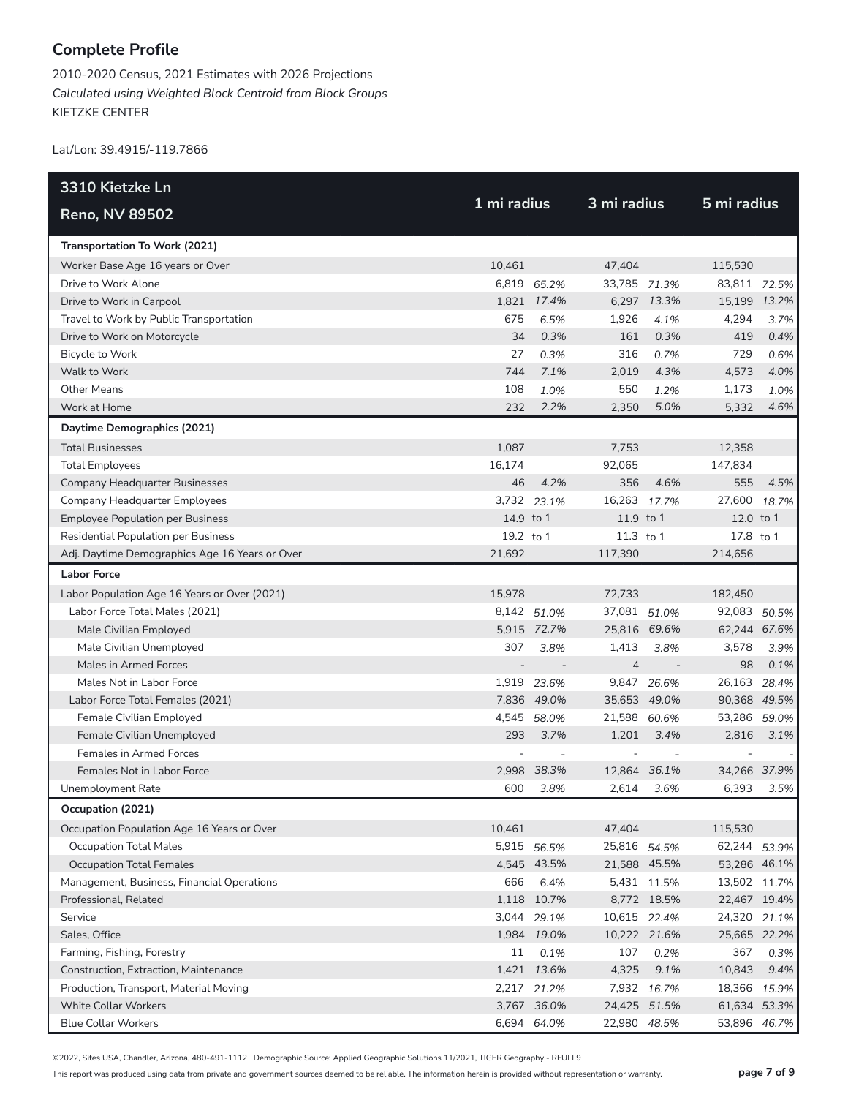2010-2020 Census, 2021 Estimates with 2026 Projections *Calculated using Weighted Block Centroid from Block Groups* KIETZKE CENTER

Lat/Lon: 39.4915/-119.7866

| 3310 Kietzke Ln                                |             |             | 3 mi radius    |              |              |       |
|------------------------------------------------|-------------|-------------|----------------|--------------|--------------|-------|
| <b>Reno, NV 89502</b>                          | 1 mi radius |             |                |              | 5 mi radius  |       |
| Transportation To Work (2021)                  |             |             |                |              |              |       |
| Worker Base Age 16 years or Over               | 10,461      |             | 47.404         |              | 115,530      |       |
| Drive to Work Alone                            |             | 6,819 65.2% | 33,785 71.3%   |              | 83,811 72.5% |       |
| Drive to Work in Carpool                       |             | 1,821 17.4% |                | 6,297 13.3%  | 15,199 13.2% |       |
| Travel to Work by Public Transportation        | 675         | 6.5%        | 1,926          | 4.1%         | 4,294        | 3.7%  |
| Drive to Work on Motorcycle                    | 34          | 0.3%        | 161            | 0.3%         | 419          | 0.4%  |
| Bicycle to Work                                | 27          | 0.3%        | 316            | 0.7%         | 729          | 0.6%  |
| Walk to Work                                   | 744         | 7.1%        | 2,019          | 4.3%         | 4,573        | 4.0%  |
| <b>Other Means</b>                             | 108         | 1.0%        | 550            | 1.2%         | 1,173        | 1.0%  |
| Work at Home                                   | 232         | 2.2%        | 2,350          | 5.0%         | 5,332        | 4.6%  |
| Daytime Demographics (2021)                    |             |             |                |              |              |       |
| <b>Total Businesses</b>                        | 1,087       |             | 7,753          |              | 12,358       |       |
| <b>Total Employees</b>                         | 16,174      |             | 92,065         |              | 147,834      |       |
| Company Headquarter Businesses                 | 46          | 4.2%        | 356            | 4.6%         | 555          | 4.5%  |
| Company Headquarter Employees                  |             | 3,732 23.1% | 16,263         | 17.7%        | 27,600       | 18.7% |
| <b>Employee Population per Business</b>        | 14.9 to 1   |             | 11.9 to 1      |              | 12.0 to 1    |       |
| <b>Residential Population per Business</b>     | 19.2 to 1   |             | 11.3 to 1      |              | 17.8 to 1    |       |
| Adj. Daytime Demographics Age 16 Years or Over | 21.692      |             | 117,390        |              | 214.656      |       |
| <b>Labor Force</b>                             |             |             |                |              |              |       |
| Labor Population Age 16 Years or Over (2021)   | 15,978      |             | 72,733         |              | 182,450      |       |
| Labor Force Total Males (2021)                 |             | 8,142 51.0% | 37,081 51.0%   |              | 92,083 50.5% |       |
| Male Civilian Employed                         |             | 5,915 72.7% | 25,816 69.6%   |              | 62,244 67.6% |       |
| Male Civilian Unemployed                       | 307         | 3.8%        | 1,413          | 3.8%         | 3,578        | 3.9%  |
| Males in Armed Forces                          |             |             | $\overline{4}$ |              | 98           | 0.1%  |
| Males Not in Labor Force                       |             | 1,919 23.6% |                | 9,847 26.6%  | 26,163       | 28.4% |
| Labor Force Total Females (2021)               |             | 7,836 49.0% | 35,653 49.0%   |              | 90,368 49.5% |       |
| Female Civilian Employed                       |             | 4,545 58.0% | 21,588 60.6%   |              | 53,286       | 59.0% |
| Female Civilian Unemployed                     | 293         | 3.7%        | 1,201          | 3.4%         | 2,816        | 3.1%  |
| Females in Armed Forces                        |             |             |                |              |              |       |
| Females Not in Labor Force                     |             | 2.998 38.3% | 12,864 36.1%   |              | 34,266 37.9% |       |
| <b>Unemployment Rate</b>                       | 600         | 3.8%        | 2,614          | 3.6%         | 6,393        | 3.5%  |
| Occupation (2021)                              |             |             |                |              |              |       |
| Occupation Population Age 16 Years or Over     | 10,461      |             | 47,404         |              | 115,530      |       |
| <b>Occupation Total Males</b>                  |             | 5,915 56.5% | 25,816 54.5%   |              | 62,244 53.9% |       |
| <b>Occupation Total Females</b>                |             | 4,545 43.5% |                | 21,588 45.5% | 53,286 46.1% |       |
| Management, Business, Financial Operations     | 666         | 6.4%        |                | 5,431 11.5%  | 13,502 11.7% |       |
| Professional, Related                          |             | 1,118 10.7% |                | 8,772 18.5%  | 22,467 19.4% |       |
| Service                                        |             | 3,044 29.1% | 10,615 22.4%   |              | 24,320       | 21.1% |
| Sales, Office                                  |             | 1,984 19.0% | 10,222 21.6%   |              | 25,665 22.2% |       |
| Farming, Fishing, Forestry                     | 11          | 0.1%        | 107            | 0.2%         | 367          | 0.3%  |
| Construction, Extraction, Maintenance          |             | 1,421 13.6% | 4,325          | 9.1%         | 10,843       | 9.4%  |
| Production, Transport, Material Moving         |             | 2,217 21.2% |                | 7,932 16.7%  | 18,366       | 15.9% |
| <b>White Collar Workers</b>                    |             | 3,767 36.0% |                | 24,425 51.5% | 61,634 53.3% |       |
| <b>Blue Collar Workers</b>                     |             | 6,694 64.0% | 22,980 48.5%   |              | 53,896 46.7% |       |

©2022, Sites USA, Chandler, Arizona, 480-491-1112 Demographic Source: Applied Geographic Solutions 11/2021, TIGER Geography - RFULL9

This report was produced using data from private and government sources deemed to be reliable. The information herein is provided without representation or warranty. **page 7 of 9**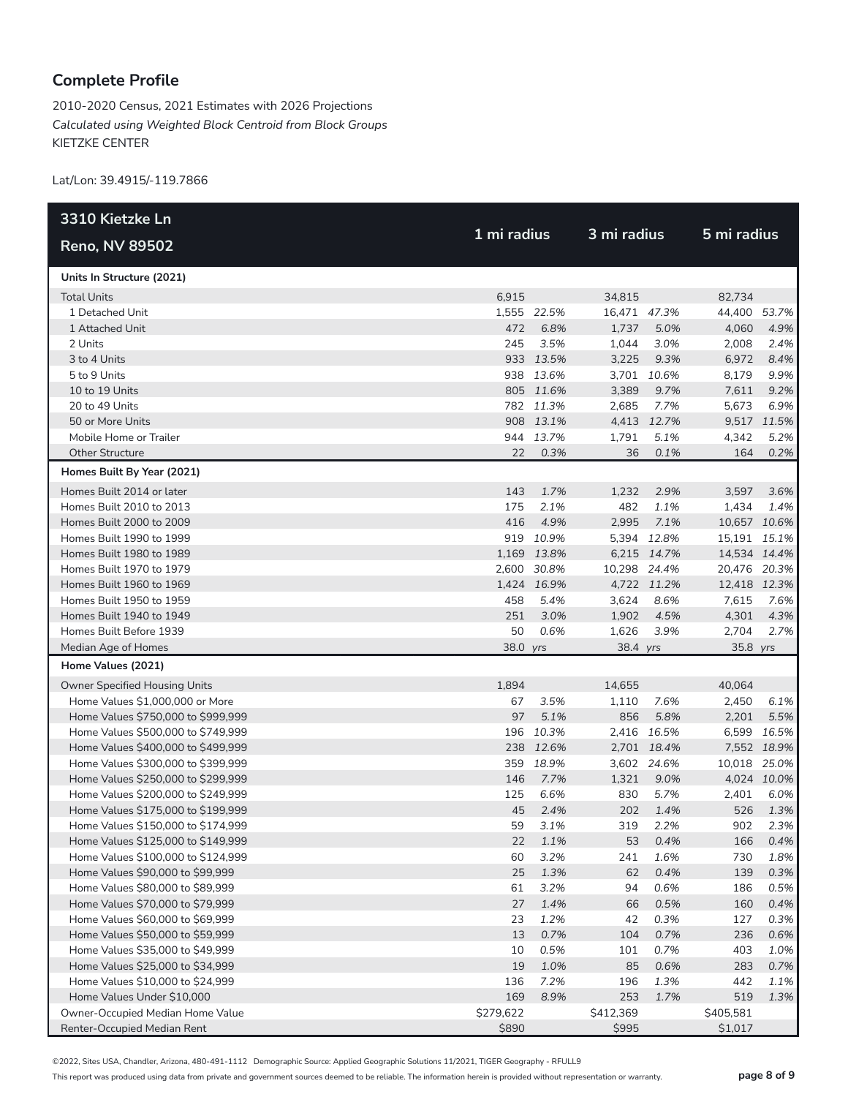2010-2020 Census, 2021 Estimates with 2026 Projections *Calculated using Weighted Block Centroid from Block Groups* KIETZKE CENTER

Lat/Lon: 39.4915/-119.7866

| 3310 Kietzke Ln                      |           |             | 3 mi radius  |             |              |             |
|--------------------------------------|-----------|-------------|--------------|-------------|--------------|-------------|
| <b>Reno, NV 89502</b>                |           | 1 mi radius |              |             | 5 mi radius  |             |
| Units In Structure (2021)            |           |             |              |             |              |             |
| <b>Total Units</b>                   | 6,915     |             | 34,815       |             | 82,734       |             |
| 1 Detached Unit                      |           | 1,555 22.5% | 16,471 47.3% |             | 44,400 53.7% |             |
| 1 Attached Unit                      | 472       | 6.8%        | 1,737        | 5.0%        | 4,060        | 4.9%        |
| 2 Units                              | 245       | 3.5%        | 1,044        | 3.0%        | 2,008        | 2.4%        |
| 3 to 4 Units                         |           | 933 13.5%   | 3,225        | 9.3%        | 6,972        | 8.4%        |
| 5 to 9 Units                         |           | 938 13.6%   |              | 3,701 10.6% | 8,179        | 9.9%        |
| 10 to 19 Units                       |           | 805 11.6%   | 3,389        | 9.7%        | 7,611        | 9.2%        |
| 20 to 49 Units                       |           | 782 11.3%   | 2,685        | 7.7%        | 5,673        | 6.9%        |
| 50 or More Units                     |           | 908 13.1%   |              | 4,413 12.7% |              | 9,517 11.5% |
| Mobile Home or Trailer               |           | 944 13.7%   | 1,791        | 5.1%        | 4,342        | 5.2%        |
| <b>Other Structure</b>               | 22        | 0.3%        | 36           | 0.1%        | 164          | 0.2%        |
| Homes Built By Year (2021)           |           |             |              |             |              |             |
| Homes Built 2014 or later            | 143       | 1.7%        | 1,232        | 2.9%        | 3,597        | 3.6%        |
| Homes Built 2010 to 2013             | 175       | 2.1%        | 482          | 1.1%        | 1,434        | 1.4%        |
| Homes Built 2000 to 2009             | 416       | 4.9%        | 2,995        | 7.1%        | 10,657 10.6% |             |
| Homes Built 1990 to 1999             |           | 919 10.9%   |              | 5,394 12.8% | 15,191 15.1% |             |
| Homes Built 1980 to 1989             |           | 1,169 13.8% |              | 6,215 14.7% | 14,534 14.4% |             |
| Homes Built 1970 to 1979             |           | 2,600 30.8% | 10,298 24.4% |             | 20,476 20.3% |             |
| Homes Built 1960 to 1969             |           | 1,424 16.9% |              | 4,722 11.2% | 12,418 12.3% |             |
| Homes Built 1950 to 1959             | 458       | 5.4%        | 3,624        | 8.6%        | 7,615        | 7.6%        |
| Homes Built 1940 to 1949             | 251       | 3.0%        | 1,902        | 4.5%        | 4,301        | 4.3%        |
| Homes Built Before 1939              | 50        | 0.6%        | 1,626        | 3.9%        | 2,704        | 2.7%        |
| Median Age of Homes                  | 38.0 yrs  |             | 38.4 yrs     |             | 35.8 yrs     |             |
| Home Values (2021)                   |           |             |              |             |              |             |
| <b>Owner Specified Housing Units</b> | 1,894     |             | 14,655       |             | 40,064       |             |
| Home Values \$1,000,000 or More      | 67        | 3.5%        | 1,110        | 7.6%        | 2,450        | 6.1%        |
| Home Values \$750,000 to \$999,999   | 97        | 5.1%        | 856          | 5.8%        | 2,201        | 5.5%        |
| Home Values \$500,000 to \$749,999   |           | 196 10.3%   |              | 2,416 16.5% |              | 6,599 16.5% |
| Home Values \$400,000 to \$499,999   |           | 238 12.6%   |              | 2,701 18.4% |              | 7,552 18.9% |
| Home Values \$300,000 to \$399,999   | 359       | 18.9%       |              | 3,602 24.6% | 10,018 25.0% |             |
| Home Values \$250,000 to \$299,999   | 146       | 7.7%        | 1,321        | 9.0%        |              | 4,024 10.0% |
| Home Values \$200,000 to \$249,999   | 125       | 6.6%        | 830          | 5.7%        | 2,401        | 6.0%        |
| Home Values \$175,000 to \$199,999   | 45        | 2.4%        | 202          | 1.4%        | 526          | 1.3%        |
| Home Values \$150,000 to \$174,999   | 59        | 3.1%        | 319          | 2.2%        | 902          | 2.3%        |
| Home Values \$125,000 to \$149,999   | 22        | 1.1%        | 53           | 0.4%        | 166          | 0.4%        |
| Home Values \$100,000 to \$124,999   | 60        | 3.2%        | 241          | 1.6%        | 730          | 1.8%        |
| Home Values \$90,000 to \$99,999     | 25        | 1.3%        | 62           | 0.4%        | 139          | 0.3%        |
| Home Values \$80,000 to \$89,999     | 61        | 3.2%        | 94           | 0.6%        | 186          | 0.5%        |
| Home Values \$70,000 to \$79,999     | 27        | 1.4%        | 66           | 0.5%        | 160          | 0.4%        |
| Home Values \$60,000 to \$69,999     | 23        | 1.2%        | 42           | 0.3%        | 127          | 0.3%        |
| Home Values \$50,000 to \$59,999     | 13        | 0.7%        | 104          | 0.7%        | 236          | 0.6%        |
| Home Values \$35,000 to \$49,999     | 10        | 0.5%        | 101          | 0.7%        | 403          | 1.0%        |
| Home Values \$25,000 to \$34,999     | 19        | 1.0%        | 85           | 0.6%        | 283          | 0.7%        |
| Home Values \$10,000 to \$24,999     | 136       | 7.2%        | 196          | 1.3%        | 442          | 1.1%        |
| Home Values Under \$10,000           | 169       | 8.9%        | 253          | 1.7%        | 519          | 1.3%        |
| Owner-Occupied Median Home Value     | \$279,622 |             | \$412,369    |             | \$405,581    |             |
| Renter-Occupied Median Rent          | \$890     |             | \$995        |             | \$1,017      |             |

©2022, Sites USA, Chandler, Arizona, 480-491-1112 Demographic Source: Applied Geographic Solutions 11/2021, TIGER Geography - RFULL9

This report was produced using data from private and government sources deemed to be reliable. The information herein is provided without representation or warranty. **page 8 of 9**